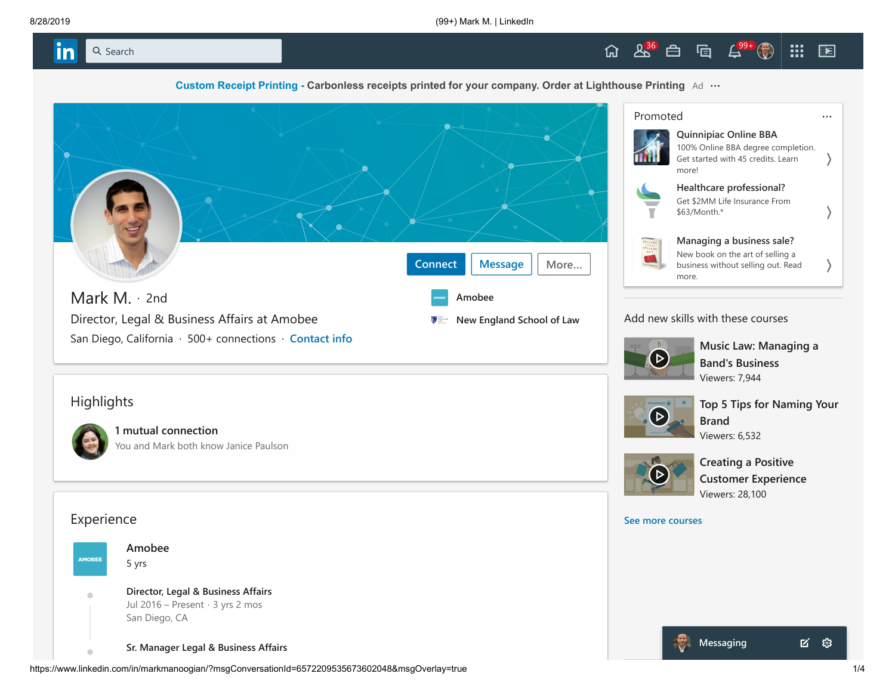



**[Custom Receipt Printing -](https://www.linkedin.com/csp/cat?v=1&action=click&trk=CwEAAAFs2u7ibAQXi418HXSQS1-V-YKLhOF33H5ReamIkWll874xFNIuZyNGPkciFkwfZ3PNe1paHGyZ3Ov7jmOyG6l9L7qjkAI31k18UB7pX4hDvDN7YdS-r_CFLLrTNYJm1g94TNXshCsYOHm5i9TOwhfP2z6Rah0F_oewXKfy7TBTac-ovf9D0hhCIy5qEyOUvQRil4z8yraD0upEabj2T6SxSEMnbVzkc3d6bDZIqjDrcJ9cW0v6Gxt5kcvVnvDxv5cvuhiv1PYSgbvZahQP5xnQ6nX0-IGM8YkIXLt1XtJJQotpqNSXf_1VMU1cXHVyWS6mRTLWRKDfbd1xC9KyuX1prHvM-dRN5osCbyWjnoCcWYgwqB2ZwKJDh6FMICWRq0Msk9QtTXaMmhcnbfPteBVkCPbeAo2W77lXp287q6TatwbVp-wk_b_krWG-PDu_77jYwy6_WCd5B1ozCDnH8lztxEcf6cYt8XNZla-YQcFQ-TOAm25v30aif5YWTnikV_3I6WVuue4L440upjCPGovkEqRNRZ9gYTaj1kJUUI_gaEF7FnX48JJn7I-UD1zVbwNmv0ep_ZnBzR9XK0dpUtLlEIap8CdpPfVteV3ea3WebEjTNuw2a-jdZ5fpL5o-iiWoo-oJ89U9T1c3uJp4TpTm2UiAhr3_KWu_Ig5IKXjsoKV6VReRBvY_ZKVPy81mlGQ0k9USUJXDK_VwImTKDXM57-GA-P3HSkh6G6_I23OTFvNl8JPVQ5JdMAjif5p_eRkgI-XcsoIhsIK-TrcGoYBAbNEKgs-AE07K8kiq_F2Gl1GC0jSkZyMAxnlnGCiZkCGaK6kYOODeaIfpFgZu75-LmdM-gVFwDAdmK_zWdCKftVbaTkPejVLcVL0VjPDOXRlI5kz3jnI39GmVFS63-R4P5mqd1MwrZS9lzya_KSo2wImrbVSOsV4XgWCNBRQVwpdBBtxn8RCmxizcYiRkoCBOFwXGMHxDWB355M5751BBC6sQ6i-IPQ3e9hrXgRc&pageKey=d_flagship3_profile_view_base) [Carbonless receipts printed for your company. Order at Lighthouse Printing](https://www.linkedin.com/csp/cat?v=1&action=click&trk=CwEAAAFs2u7ibAQXi418HXSQS1-V-YKLhOF33H5ReamIkWll874xFNIuZyNGPkciFkwfZ3PNe1paHGyZ3Ov7jmOyG6l9L7qjkAI31k18UB7pX4hDvDN7YdS-r_CFLLrTNYJm1g94TNXshCsYOHm5i9TOwhfP2z6Rah0F_oewXKfy7TBTac-ovf9D0hhCIy5qEyOUvQRil4z8yraD0upEabj2T6SxSEMnbVzkc3d6bDZIqjDrcJ9cW0v6Gxt5kcvVnvDxv5cvuhiv1PYSgbvZahQP5xnQ6nX0-IGM8YkIXLt1XtJJQotpqNSXf_1VMU1cXHVyWS6mRTLWRKDfbd1xC9KyuX1prHvM-dRN5osCbyWjnoCcWYgwqB2ZwKJDh6FMICWRq0Msk9QtTXaMmhcnbfPteBVkCPbeAo2W77lXp287q6TatwbVp-wk_b_krWG-PDu_77jYwy6_WCd5B1ozCDnH8lztxEcf6cYt8XNZla-YQcFQ-TOAm25v30aif5YWTnikV_3I6WVuue4L440upjCPGovkEqRNRZ9gYTaj1kJUUI_gaEF7FnX48JJn7I-UD1zVbwNmv0ep_ZnBzR9XK0dpUtLlEIap8CdpPfVteV3ea3WebEjTNuw2a-jdZ5fpL5o-iiWoo-oJ89U9T1c3uJp4TpTm2UiAhr3_KWu_Ig5IKXjsoKV6VReRBvY_ZKVPy81mlGQ0k9USUJXDK_VwImTKDXM57-GA-P3HSkh6G6_I23OTFvNl8JPVQ5JdMAjif5p_eRkgI-XcsoIhsIK-TrcGoYBAbNEKgs-AE07K8kiq_F2Gl1GC0jSkZyMAxnlnGCiZkCGaK6kYOODeaIfpFgZu75-LmdM-gVFwDAdmK_zWdCKftVbaTkPejVLcVL0VjPDOXRlI5kz3jnI39GmVFS63-R4P5mqd1MwrZS9lzya_KSo2wImrbVSOsV4XgWCNBRQVwpdBBtxn8RCmxizcYiRkoCBOFwXGMHxDWB355M5751BBC6sQ6i-IPQ3e9hrXgRc&pageKey=d_flagship3_profile_view_base)** Ad



| Promoted |                                                                                                                   |  |
|----------|-------------------------------------------------------------------------------------------------------------------|--|
|          | <b>Quinnipiac Online BBA</b><br>100% Online BBA degree completion.<br>Get started with 45 credits, Learn<br>more! |  |
|          | Healthcare professional?<br>Get \$2MM Life Insurance From<br>\$63/Month.*                                         |  |
|          | Managing a business sale?<br>New book on the art of selling a<br>business without selling out. Read<br>more.      |  |

## Add new skills with these courses



**[Music Law: Managing a](https://www.linkedin.com/learning/music-law-managing-a-band-s-business?courseClaim=AQHiZYW81azWcQAAAWza7uInreHhMAhElBSkvQ8cfioQAUi9HtG51RLYos8gFJm7MCdnor53LqMmdYHDTFUpRO3jLn4QneVJEfNb9MS4u_LXu48CaFuW-W_x_cphYtUVVN_4S0dz7QRU67b8KVACDykybTZq_cxoJJUVZF69hSxBlXZa0hVizH557royQo7Uwf3-EguQGhQdobfhF7ZfVp0wQ3gD1qfhO0tGdg00FNqd_ZlZGM0WwEzspcmQAePS5FH3-Gcbhj-Qr9YU7EO_QG_JoR2xaf-DopQkRBdQ-tLO3tRDqLu8jDHiqqht3IwZwHKztqz-4yL38YW29u2_B-z6FeFQytkSFxyZ5ViS5XfoOkGTTYk5aeRDAT4DvYvRhBEJA8vLG1a9WTjh4Kbo1WKRN1wGM9ezzqsBmPhy9w471ZjOTWajkkwX14KFJLcBX71SEmx5D8-3YGe_tBXkJl0ZwFn1FggQ1YX_-eLLzQGUcXLdF3YMrOz0_LNZuOU-q0DBUtOwdg6vqrn4NkVCHiPqkEdYMpH76gRtflogjUuUcO855LzZJASx_GdhxUVsKSATRDaRuGLKyMKWeJckjEZ7QtLfv8PnwYk6_FfuMnDg9HW49bGBHdmsnqxyD-oovu8Bpby99OVQ-t3dkSRTEjAxlLZAgNcDn3sbVf8d1JRWZ7fBBat6tgo&trk=profileNonSelf_d_flagship3_profile_view_base_learningFeedm015_376618_learning) Band's Business** Viewers: 7,944



**[Top 5 Tips for Naming Your](https://www.linkedin.com/learning/top-5-tips-for-naming-your-brand?courseClaim=AQHv7djUZJvywAAAAWza7uInMWJ6KK94HnAP_APqd-63VSsxowj_VS1-_oOv9wwo-0bwrufvCcN-8fQPsvjwupCNXYZdJ7Xt2tzOr6EdSrkYRdcGLqJaAADbkWfBpdQLgzfZntWqxPuL8P0suZVg18vXwKpLkDfSKLYbzh9-PMT9L-7NRnv03MnKRFL7iqRjfWoqB3mKSnZ7f_U3_jqCebYTXBKztYfGhZTv6sfNAt7ItXnZgQjLzgz9tqQwo_32w3ySSOG74EJuSfxf_pmcW3sBuAfqeBmpVM9mxy-0SMVgZ2MMSDuscl9WiYe2dJVVzNCAkON1djZFWtUfK42icGjAz3bvT2d6fJCU6Z7Dco6xYApaIh4j__DQoi4LZt9jt6dVT9Cn8tMk8EApdey-WC6XotHCrRlTkHPZ0-ffgUZ1ehiKM-w0EnpOBbYU3z7Ky632Cl04p_fMHMgzN18ToQ8OsYzcoSKcZDZLENzSEuj1x_N6NrCvVxNCZ7YpU7FE0XaE7i4DnWdww6roh4srzU9hsilLeipdS8unMHKh8egvgrXxyvv0hncU_GhS5ng3XGo8iKWnKVL9G3JmaCRMl95Xz4jRsi1cwaYxzHUhiEe-viu97Lvxqzb8hNUD4bvrqN6_UzkrnqABjpTh_YExe5jvmWIJ5bkrm3Xsw-2CefenTmCzOSRaLQI&trk=profileNonSelf_d_flagship3_profile_view_base_learningFeedm015_367450_learning) Brand** Viewers: 6,532



**Creating a Positive [Customer Experience](https://www.linkedin.com/learning/creating-a-positive-customer-experience?courseClaim=AQGE1oVLICyp4QAAAWza7uIovuxCymcYR616-yWtO5Bi4_-62WjlM8c5QJLYREsIdMQGQ6CPC0OIA4BKZSBwnzqJlqDy2mkQLkUNJLXktEgK3uAf5uszSpuEere39my2o6Ms66IOJeXgxhYYJh3jl-N2rf9n1584-YfTSSd2KKTElBSY2rOzFpbl2K3Ns02sMs4QLVTUfLFP-x8tD-ywzfEfsL-1J6SetPgcjsxdKrZbM4hUMTf0sdDR_Ad0aL7Z5Q161jk5map2CBU4Fx7CVLL45gDdVignPHikAKUdL-YC8GVZYwZlEiU5G-Sxgk0SHRfOxEw_TnoxDnNnh81eMSUH-LD8ka3efuXwEUReOiQwxQ1cwKQU4L-1WEHhC41vVKtFV7PM2GMgchjl38AFrkgg_s0AFtl3MjDCF7anj4lsT9A9EVSB_Wc24qUkhXWDbM0BuVZ7mWOCAUdyQjETpY7zs0x7QQdtjM7LAxd-pXZBB0Bp-BXqLZhPMU4QPQN7C0Z5U5pz19nxopJ3Fu-_tKEzNdhR3NfGrdsnbH_EqJW5Wq91xSjL5vJ6Uwry_6m-8cu2za3f7aVdLDk8RsYR0ZZJ48HHB9LmkdCxjUOmY3nE_pMW5PIB1IEQjeEupJUIjGU2ICDPOSy4m99bdkepKqZEOysEIYPBWsNDppLr63LDi-t2FBzmlwg&trk=profileNonSelf_d_flagship3_profile_view_base_learningFeedm015_622062_learning)** Viewers: 28,100

**[See more courses](https://www.linkedin.com/learning/?trk=profileNonSelf_d_flagship3_profile_view_base_learningFeedm015_viewMoreCourses_learning)**



https://www.linkedin.com/in/markmanoogian/?msgConversationId=6572209535673602048&msgOverlay=true 1/4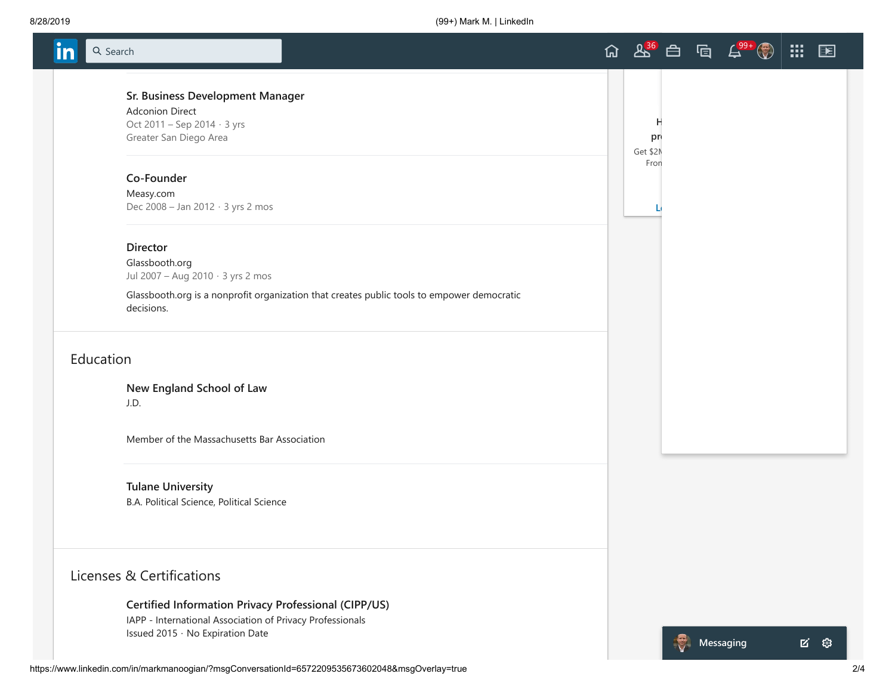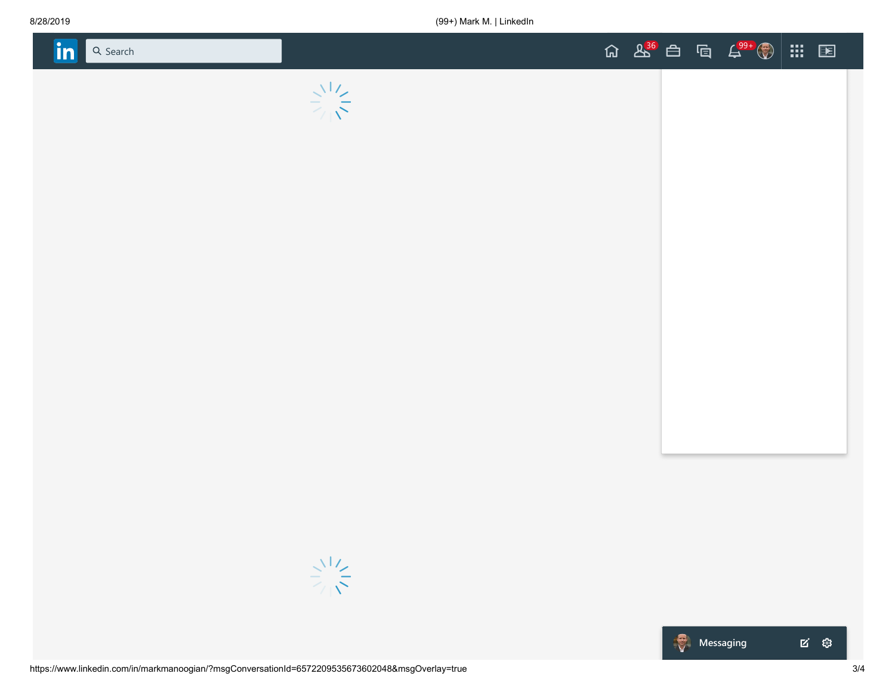



■ ※